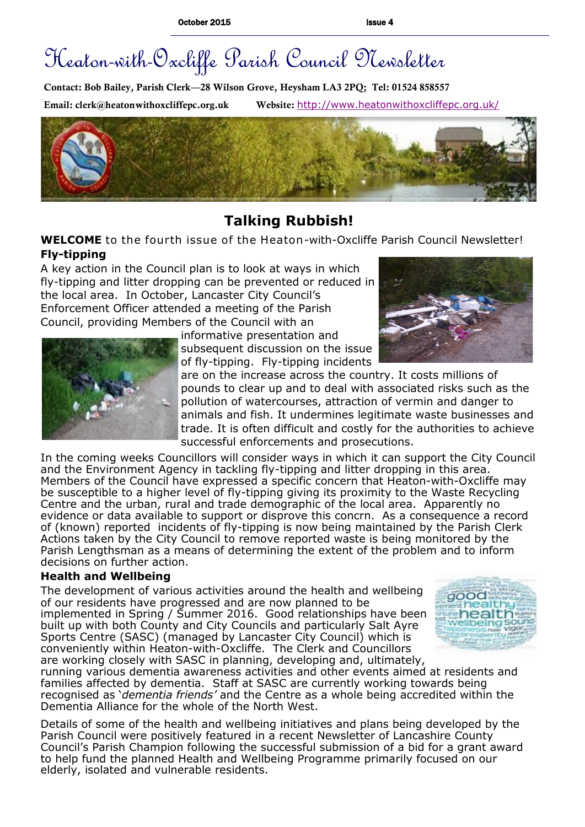# Heaton-with-Oxcliffe Parish Council Newsletter

**Contact: Bob Bailey, Parish Clerk—28 Wilson Grove, Heysham LA3 2PQ; Tel: 01524 858557 Email: clerk@heatonwithoxcliffepc.org.uk Website:** <http://www.heatonwithoxcliffepc.org.uk/>



# **Talking Rubbish!**

## **WELCOME** to the fourth issue of the Heaton-with-Oxcliffe Parish Council Newsletter! **Fly-tipping**

A key action in the Council plan is to look at ways in which fly-tipping and litter dropping can be prevented or reduced in the local area. In October, Lancaster City Council's Enforcement Officer attended a meeting of the Parish Council, providing Members of the Council with an







are on the increase across the country. It costs millions of pounds to clear up and to deal with associated risks such as the pollution of watercourses, attraction of vermin and danger to animals and fish. It undermines legitimate waste businesses and trade. It is often difficult and costly for the authorities to achieve successful enforcements and prosecutions.

In the coming weeks Councillors will consider ways in which it can support the City Council and the Environment Agency in tackling fly-tipping and litter dropping in this area. Members of the Council have expressed a specific concern that Heaton-with-Oxcliffe may be susceptible to a higher level of fly-tipping giving its proximity to the Waste Recycling Centre and the urban, rural and trade demographic of the local area. Apparently no evidence or data available to support or disprove this concrn. As a consequence a record of (known) reported incidents of fly-tipping is now being maintained by the Parish Clerk Actions taken by the City Council to remove reported waste is being monitored by the Parish Lengthsman as a means of determining the extent of the problem and to inform decisions on further action.

#### **Health and Wellbeing**

The development of various activities around the health and wellbeing of our residents have progressed and are now planned to be implemented in Spring / Summer 2016. Good relationships have been built up with both County and City Councils and particularly Salt Ayre Sports Centre (SASC) (managed by Lancaster City Council) which is conveniently within Heaton-with-Oxcliffe. The Clerk and Councillors are working closely with SASC in planning, developing and, ultimately,



running various dementia awareness activities and other events aimed at residents and families affected by dementia. Staff at SASC are currently working towards being recognised as '*dementia friends'* and the Centre as a whole being accredited within the Dementia Alliance for the whole of the North West.

Details of some of the health and wellbeing initiatives and plans being developed by the Parish Council were positively featured in a recent Newsletter of Lancashire County Council's Parish Champion following the successful submission of a bid for a grant award to help fund the planned Health and Wellbeing Programme primarily focused on our elderly, isolated and vulnerable residents.